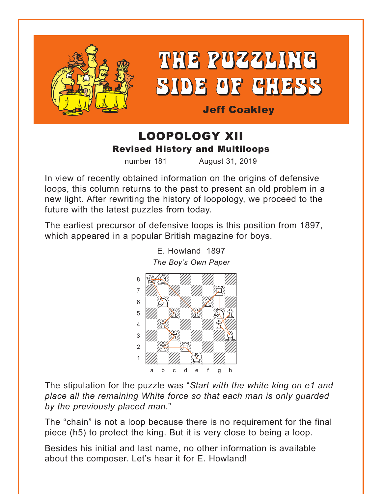



**Jeff Coakley** 

## LOOPOLOGY XII **Revised History and Multiloops**

number 181

August 31, 2019

In view of recently obtained information on the origins of defensive loops, this column returns to the past to present an old problem in a new light. After rewriting the history of loopology, we proceed to the future with the latest puzzles from today.

The earliest precursor of defensive loops is this position from 1897, which appeared in a popular British magazine for boys.



E. Howland 1897 The Boy's Own Paper

The stipulation for the puzzle was "Start with the white king on e1 and place all the remaining White force so that each man is only guarded by the previously placed man."

The "chain" is not a loop because there is no requirement for the final piece (h5) to protect the king. But it is very close to being a loop.

Besides his initial and last name, no other information is available about the composer. Let's hear it for E. Howland!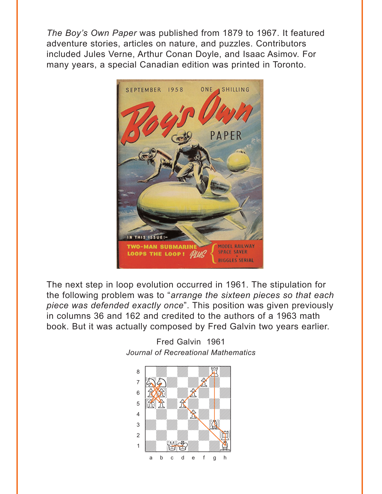The Boy's Own Paper was published from 1879 to 1967. It featured adventure stories, articles on nature, and puzzles. Contributors included Jules Verne, Arthur Conan Doyle, and Isaac Asimov. For many years, a special Canadian edition was printed in Toronto.



The next step in loop evolution occurred in 1961. The stipulation for the following problem was to "arrange the sixteen pieces so that each piece was defended exactly once". This position was given previously in columns 36 and 162 and credited to the authors of a 1963 math book. But it was actually composed by Fred Galvin two years earlier.



Fred Galvin 1961 Journal of Recreational Mathematics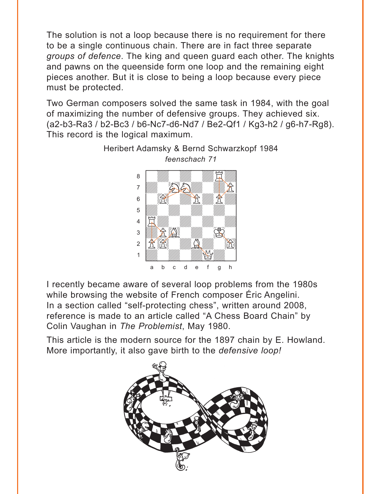The solution is not a loop because there is no requirement for there to be a single continuous chain. There are in fact three separate *groups of defence*. The king and queen guard each other. The knights and pawns on the queenside form one loop and the remaining eight pieces another. But it is close to being a loop because every piece must be protected.

Two German composers solved the same task in 1984, with the goal of maximizing the number of defensive groups. They achieved six. (a2-b3-Ra3 / b2-Bc3 / b6-Nc7-d6-Nd7 / Be2-Qf1 / Kg3-h2 / g6-h7-Rg8). This record is the logical maximum.



Heribert Adamsky & Bernd Schwarzkopf 1984 *feenschach 71*

I recently became aware of several loop problems from the 1980s while browsing the website of French composer Éric Angelini. In a section called "self-protecting chess", written around 2008, reference is made to an article called "A Chess Board Chain" by Colin Vaughan in *The Problemist*, May 1980.

This article is the modern source for the 1897 chain by E. Howland. More importantly, it also gave birth to the *defensive loop!*

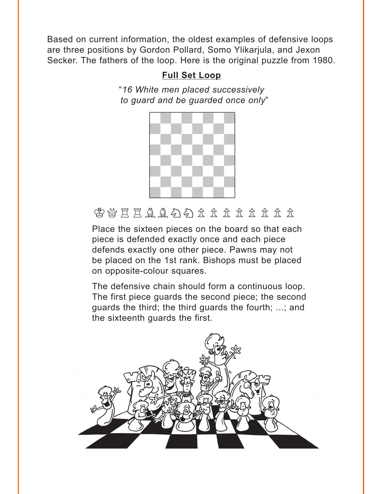<span id="page-3-0"></span>Based on current information, the oldest examples of defensive loops are three positions by Gordon Pollard, Somo Ylikarjula, and Jexon Secker. The fathers of the loop. Here is the original puzzle from 1980.

### **[Full Set Loop](#page-7-0)**

"*16 White men placed successively to guard and be guarded once only*" ward and so gaaraca choo



# 曾曾只用自己的自己的主要是是

Place the sixteen pieces on the board so that each piece is defended exactly once and each piece defends exactly one other piece. Pawns may not be placed on the 1st rank. Bishops must be placed on opposite-colour squares.

The defensive chain should form a continuous loop. The first piece guards the second piece; the second guards the third; the third guards the fourth; ...; and the sixteenth guards the first.

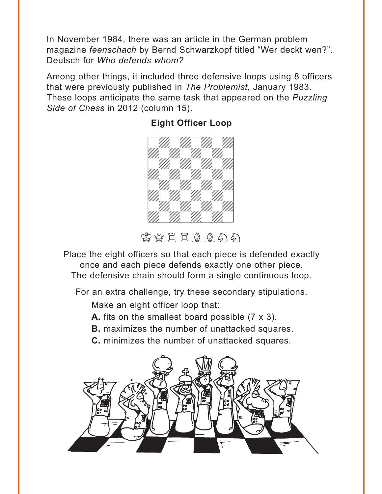<span id="page-4-0"></span>In November 1984, there was an article in the German problem magazine *feenschach* by Bernd Schwarzkopf titled "Wer deckt wen?". Deutsch for *Who defends whom?* 

Among other things, it included three defensive loops using 8 officers that were previously published in *The Problemist*, January 1983. These loops anticipate the same task that appeared on the *Puzzling Side of Chess* in 2012 (column 15).

### **[Eight Officer Loop](#page-8-0)**



密替其自自自向

Place the eight officers so that each piece is defended exactly once and each piece defends exactly one other piece. The defensive chain should form a single continuous loop.

For an extra challenge, try these secondary stipulations.

Make an eight officer loop that:

**A.** fits on the smallest board possible (7 x 3).

**B.** maximizes the number of unattacked squares.

**C.** minimizes the number of unattacked squares.

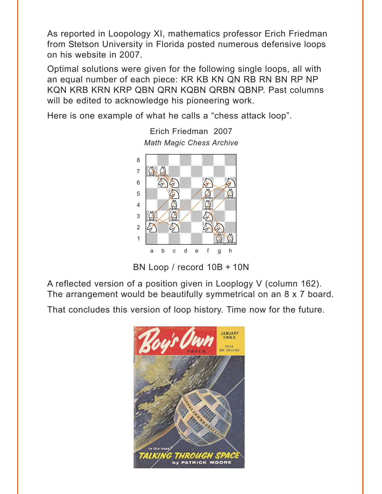As reported in Loopology XI, mathematics professor Erich Friedman from Stetson University in Florida posted numerous defensive loops on his website in 2007.

Optimal solutions were given for the following single loops, all with an equal number of each piece: KR KB KN QN RB RN BN RP NP KQN KRB KRN KRP QBN QRN KQBN QRBN QBNP. Past columns will be edited to acknowledge his pioneering work.

Here is one example of what he calls a "chess attack loop".



Erich Friedman 2007

BN Loop / record 10B + 10N

A reflected version of a position given in Looplogy V (column 162). The arrangement would be beautifully symmetrical on an 8 x 7 board.

That concludes this version of loop history. Time now for the future.

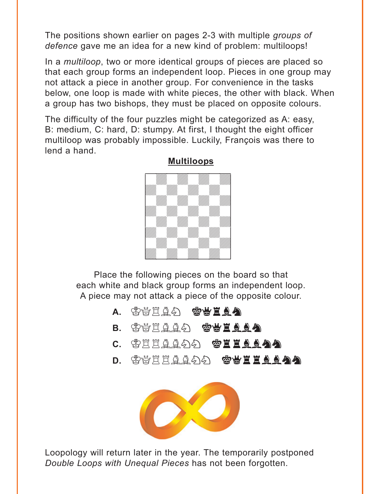<span id="page-6-0"></span>The positions shown earlier on pages 2-3 with multiple *groups of defence* gave me an idea for a new kind of problem: multiloops!

In a *multiloop*, two or more identical groups of pieces are placed so that each group forms an independent loop. Pieces in one group may not attack a piece in another group. For convenience in the tasks below, one loop is made with white pieces, the other with black. When a group has two bishops, they must be placed on opposite colours.

The difficulty of the four puzzles might be categorized as A: easy, B: medium, C: hard, D: stumpy. At first, I thought the eight officer multiloop was probably impossible. Luckily, François was there to lend a hand.



#### **[Multiloops](#page-10-0)**

Place the following pieces on the board so that each white and black group forms an independent loop. A piece may not attack a piece of the opposite colour.

- a. \$\\$`E`Q&D` **\$\$`E`Q&**
- B. \$\\<u>EAA</u>A \$\\E<u>AA</u>
- c. \$EEAA\$) **\$EEAA&**
- d. \$\\EEAA\$O} **\$\EEAA\$**



Loopology will return later in the year. The temporarily postponed *Double Loops with Unequal Pieces* has not been forgotten.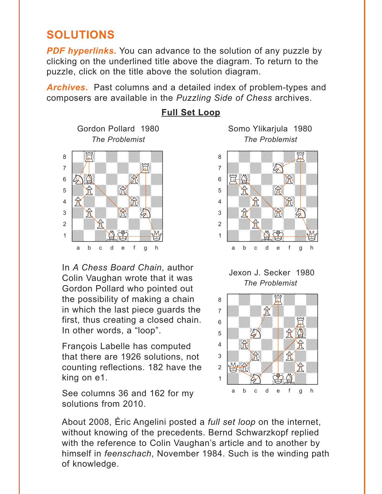## <span id="page-7-0"></span>**SOLUTIONS**

**PDF hyperlinks.** You can advance to the solution of any puzzle by clicking on the underlined title above the diagram. To return to the puzzle, click on the title above the solution diagram.

*Archives***.** Past columns and a detailed index of problem-types and composers are available in the *Puzzling Side of Chess* archives.



In *A Chess Board Chain*, author Colin Vaughan wrote that it was Gordon Pollard who pointed out the possibility of making a chain in which the last piece guards the first, thus creating a closed chain. In other words, a "loop".

François Labelle has computed that there are 1926 solutions, not counting reflections. 182 have the king on e1.

See columns 36 and 162 for my solutions from 2010.

### **[Full Set Loop](#page-3-0)**

Gordon Pollard 1980 Somo Ylikarjula 1980



Jexon J. Secker 1980 *The Problemist*



About 2008, Éric Angelini posted a *full set loop* on the internet, without knowing of the precedents. Bernd Schwarzkopf replied with the reference to Colin Vaughan's article and to another by himself in *feenschach*, November 1984. Such is the winding path of knowledge.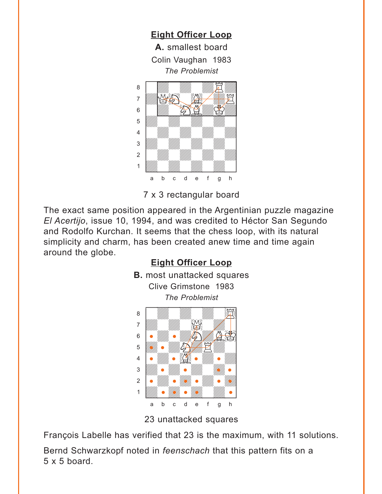<span id="page-8-0"></span>

7 x 3 rectangular board

The exact same position appeared in the Argentinian puzzle magazine *El Acertijo*, issue 10, 1994, and was credited to Héctor San Segundo and Rodolfo Kurchan. It seems that the chess loop, with its natural simplicity and charm, has been created anew time and time again around the globe.



23 unattacked squares

François Labelle has verified that 23 is the maximum, with 11 solutions.

Bernd Schwarzkopf noted in *feenschach* that this pattern fits on a  $5 \times 5$  board.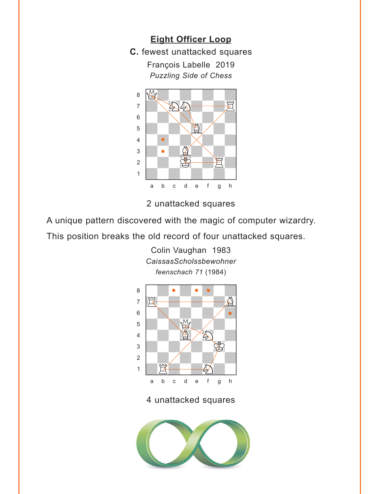



2 unattacked squares

A unique pattern discovered with the magic of computer wizardry.

This position breaks the old record of four unattacked squares.

Colin Vaughan 1983 *CaissasScholssbewohner*



4 unattacked squares

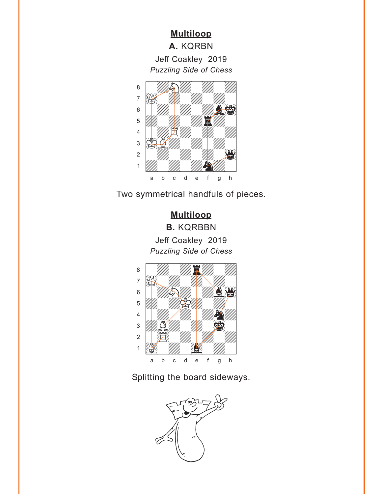# <span id="page-10-0"></span>**[Multiloop](#page-6-0) A.** KQRBN Jeff Coakley 2019 *Puzzling Side of Chess* w\_\_\_\_\_\_\_\_w



Two symmetrical handfuls of pieces.

### **[Multiloop](#page-6-0) B.** KQRBBN Jeff Coakley 2019 *Puzzling Side of Chess*



Splitting the board sideways.

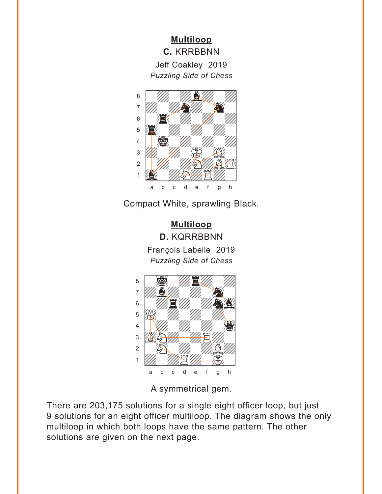**[Multiloop](#page-6-0) C.** KRRBBNN Jeff Coakley 2019 *Puzzling Side of Chess*



Compact White, sprawling Black.

**[Multiloop](#page-6-0) D.** KQRRBBNN François Labelle 2019 *Puzzling Side of Chess*



A symmetrical gem.

There are 203,175 solutions for a single eight officer loop, but just 9 solutions for an eight officer multiloop. The diagram shows the only multiloop in which both loops have the same pattern. The other solutions are given on the next page.